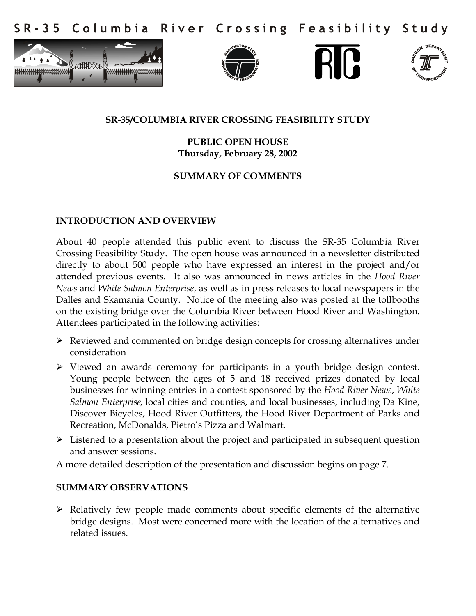Columbia River Crossing Feasibility Study  $S$  R - 3 5









### **SR-35/COLUMBIA RIVER CROSSING FEASIBILITY STUDY**

**PUBLIC OPEN HOUSE Thursday, February 28, 2002** 

# **SUMMARY OF COMMENTS**

#### **INTRODUCTION AND OVERVIEW**

About 40 people attended this public event to discuss the SR-35 Columbia River Crossing Feasibility Study. The open house was announced in a newsletter distributed directly to about 500 people who have expressed an interest in the project and/or attended previous events. It also was announced in news articles in the *Hood River News* and *White Salmon Enterprise*, as well as in press releases to local newspapers in the Dalles and Skamania County. Notice of the meeting also was posted at the tollbooths on the existing bridge over the Columbia River between Hood River and Washington. Attendees participated in the following activities:

- $\triangleright$  Reviewed and commented on bridge design concepts for crossing alternatives under consideration
- $\triangleright$  Viewed an awards ceremony for participants in a youth bridge design contest. Young people between the ages of 5 and 18 received prizes donated by local businesses for winning entries in a contest sponsored by the *Hood River News*, *White Salmon Enterprise,* local cities and counties, and local businesses, including Da Kine, Discover Bicycles, Hood River Outfitters, the Hood River Department of Parks and Recreation, McDonalds, Pietro's Pizza and Walmart.
- $\triangleright$  Listened to a presentation about the project and participated in subsequent question and answer sessions.

A more detailed description of the presentation and discussion begins on page 7.

### **SUMMARY OBSERVATIONS**

 $\triangleright$  Relatively few people made comments about specific elements of the alternative bridge designs. Most were concerned more with the location of the alternatives and related issues.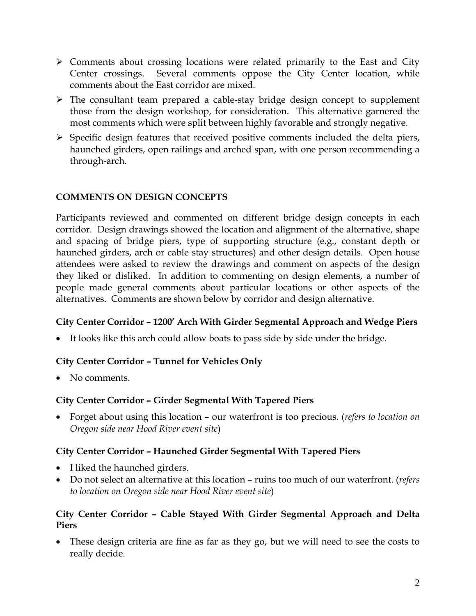- $\triangleright$  Comments about crossing locations were related primarily to the East and City Center crossings. Several comments oppose the City Center location, while comments about the East corridor are mixed.
- $\triangleright$  The consultant team prepared a cable-stay bridge design concept to supplement those from the design workshop, for consideration. This alternative garnered the most comments which were split between highly favorable and strongly negative.
- $\triangleright$  Specific design features that received positive comments included the delta piers, haunched girders, open railings and arched span, with one person recommending a through-arch.

# **COMMENTS ON DESIGN CONCEPTS**

Participants reviewed and commented on different bridge design concepts in each corridor. Design drawings showed the location and alignment of the alternative, shape and spacing of bridge piers, type of supporting structure (e.g., constant depth or haunched girders, arch or cable stay structures) and other design details. Open house attendees were asked to review the drawings and comment on aspects of the design they liked or disliked. In addition to commenting on design elements, a number of people made general comments about particular locations or other aspects of the alternatives. Comments are shown below by corridor and design alternative.

### **City Center Corridor – 1200' Arch With Girder Segmental Approach and Wedge Piers**

It looks like this arch could allow boats to pass side by side under the bridge.

### **City Center Corridor – Tunnel for Vehicles Only**

• No comments.

### **City Center Corridor – Girder Segmental With Tapered Piers**

 Forget about using this location – our waterfront is too precious. (*refers to location on Oregon side near Hood River event site*)

### **City Center Corridor – Haunched Girder Segmental With Tapered Piers**

- I liked the haunched girders.
- Do not select an alternative at this location ruins too much of our waterfront. (*refers to location on Oregon side near Hood River event site*)

# **City Center Corridor – Cable Stayed With Girder Segmental Approach and Delta Piers**

 These design criteria are fine as far as they go, but we will need to see the costs to really decide.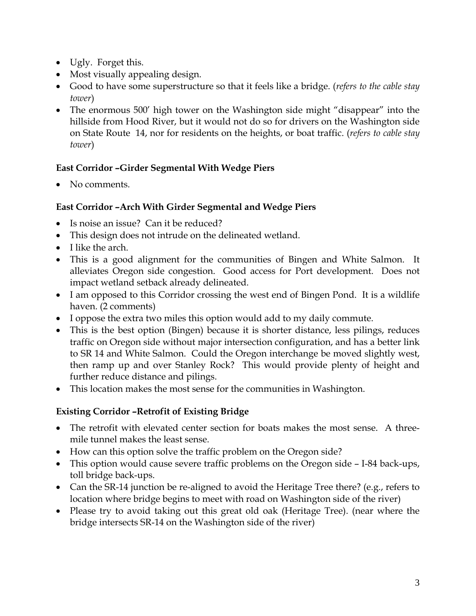- Ugly. Forget this.
- Most visually appealing design.
- Good to have some superstructure so that it feels like a bridge. (*refers to the cable stay tower*)
- The enormous 500' high tower on the Washington side might "disappear" into the hillside from Hood River, but it would not do so for drivers on the Washington side on State Route 14, nor for residents on the heights, or boat traffic. (*refers to cable stay tower*)

# **East Corridor –Girder Segmental With Wedge Piers**

• No comments.

# **East Corridor –Arch With Girder Segmental and Wedge Piers**

- Is noise an issue? Can it be reduced?
- This design does not intrude on the delineated wetland.
- I like the arch.
- This is a good alignment for the communities of Bingen and White Salmon. It alleviates Oregon side congestion. Good access for Port development. Does not impact wetland setback already delineated.
- I am opposed to this Corridor crossing the west end of Bingen Pond. It is a wildlife haven. (2 comments)
- I oppose the extra two miles this option would add to my daily commute.
- This is the best option (Bingen) because it is shorter distance, less pilings, reduces traffic on Oregon side without major intersection configuration, and has a better link to SR 14 and White Salmon. Could the Oregon interchange be moved slightly west, then ramp up and over Stanley Rock? This would provide plenty of height and further reduce distance and pilings.
- This location makes the most sense for the communities in Washington.

# **Existing Corridor –Retrofit of Existing Bridge**

- The retrofit with elevated center section for boats makes the most sense. A threemile tunnel makes the least sense.
- How can this option solve the traffic problem on the Oregon side?
- This option would cause severe traffic problems on the Oregon side I-84 back-ups, toll bridge back-ups.
- Can the SR-14 junction be re-aligned to avoid the Heritage Tree there? (e.g., refers to location where bridge begins to meet with road on Washington side of the river)
- Please try to avoid taking out this great old oak (Heritage Tree). (near where the bridge intersects SR-14 on the Washington side of the river)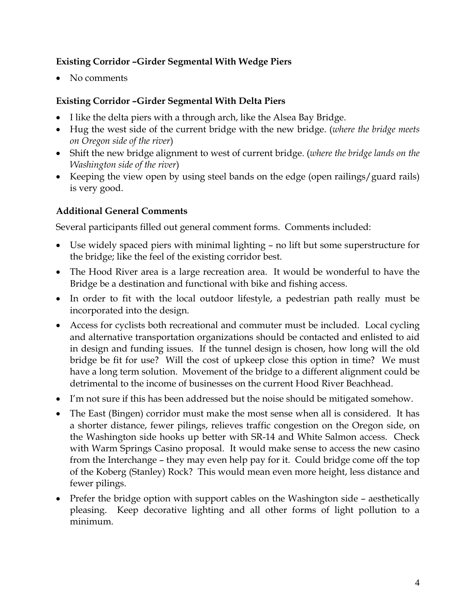# **Existing Corridor –Girder Segmental With Wedge Piers**

• No comments

# **Existing Corridor –Girder Segmental With Delta Piers**

- I like the delta piers with a through arch, like the Alsea Bay Bridge.
- Hug the west side of the current bridge with the new bridge. (*where the bridge meets on Oregon side of the river*)
- Shift the new bridge alignment to west of current bridge. (*where the bridge lands on the Washington side of the river*)
- Keeping the view open by using steel bands on the edge (open railings/guard rails) is very good.

# **Additional General Comments**

Several participants filled out general comment forms. Comments included:

- Use widely spaced piers with minimal lighting no lift but some superstructure for the bridge; like the feel of the existing corridor best.
- The Hood River area is a large recreation area. It would be wonderful to have the Bridge be a destination and functional with bike and fishing access.
- In order to fit with the local outdoor lifestyle, a pedestrian path really must be incorporated into the design.
- Access for cyclists both recreational and commuter must be included. Local cycling and alternative transportation organizations should be contacted and enlisted to aid in design and funding issues. If the tunnel design is chosen, how long will the old bridge be fit for use? Will the cost of upkeep close this option in time? We must have a long term solution. Movement of the bridge to a different alignment could be detrimental to the income of businesses on the current Hood River Beachhead.
- I'm not sure if this has been addressed but the noise should be mitigated somehow.
- The East (Bingen) corridor must make the most sense when all is considered. It has a shorter distance, fewer pilings, relieves traffic congestion on the Oregon side, on the Washington side hooks up better with SR-14 and White Salmon access. Check with Warm Springs Casino proposal. It would make sense to access the new casino from the Interchange – they may even help pay for it. Could bridge come off the top of the Koberg (Stanley) Rock? This would mean even more height, less distance and fewer pilings.
- Prefer the bridge option with support cables on the Washington side aesthetically pleasing. Keep decorative lighting and all other forms of light pollution to a minimum.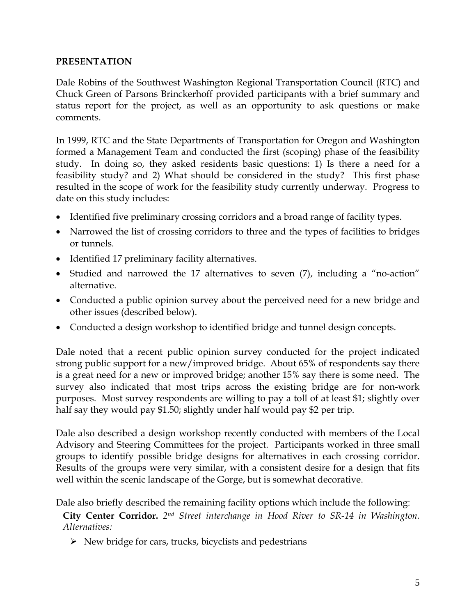#### **PRESENTATION**

Dale Robins of the Southwest Washington Regional Transportation Council (RTC) and Chuck Green of Parsons Brinckerhoff provided participants with a brief summary and status report for the project, as well as an opportunity to ask questions or make comments.

In 1999, RTC and the State Departments of Transportation for Oregon and Washington formed a Management Team and conducted the first (scoping) phase of the feasibility study. In doing so, they asked residents basic questions: 1) Is there a need for a feasibility study? and 2) What should be considered in the study? This first phase resulted in the scope of work for the feasibility study currently underway. Progress to date on this study includes:

- Identified five preliminary crossing corridors and a broad range of facility types.
- Narrowed the list of crossing corridors to three and the types of facilities to bridges or tunnels.
- Identified 17 preliminary facility alternatives.
- Studied and narrowed the 17 alternatives to seven (7), including a "no-action" alternative.
- Conducted a public opinion survey about the perceived need for a new bridge and other issues (described below).
- Conducted a design workshop to identified bridge and tunnel design concepts.

Dale noted that a recent public opinion survey conducted for the project indicated strong public support for a new/improved bridge. About 65% of respondents say there is a great need for a new or improved bridge; another 15% say there is some need. The survey also indicated that most trips across the existing bridge are for non-work purposes. Most survey respondents are willing to pay a toll of at least \$1; slightly over half say they would pay \$1.50; slightly under half would pay \$2 per trip.

Dale also described a design workshop recently conducted with members of the Local Advisory and Steering Committees for the project. Participants worked in three small groups to identify possible bridge designs for alternatives in each crossing corridor. Results of the groups were very similar, with a consistent desire for a design that fits well within the scenic landscape of the Gorge, but is somewhat decorative.

Dale also briefly described the remaining facility options which include the following:

**City Center Corridor.** *2nd Street interchange in Hood River to SR-14 in Washington. Alternatives:* 

 $\triangleright$  New bridge for cars, trucks, bicyclists and pedestrians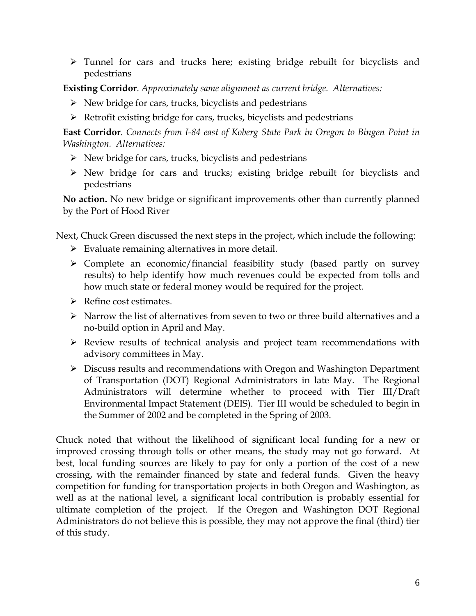Tunnel for cars and trucks here; existing bridge rebuilt for bicyclists and pedestrians

**Existing Corridor**. *Approximately same alignment as current bridge. Alternatives:*

- $\triangleright$  New bridge for cars, trucks, bicyclists and pedestrians
- $\triangleright$  Retrofit existing bridge for cars, trucks, bicyclists and pedestrians

**East Corridor**. *Connects from I-84 east of Koberg State Park in Oregon to Bingen Point in Washington. Alternatives:*

- $\triangleright$  New bridge for cars, trucks, bicyclists and pedestrians
- $\triangleright$  New bridge for cars and trucks; existing bridge rebuilt for bicyclists and pedestrians

**No action.** No new bridge or significant improvements other than currently planned by the Port of Hood River

Next, Chuck Green discussed the next steps in the project, which include the following:

- $\triangleright$  Evaluate remaining alternatives in more detail.
- $\triangleright$  Complete an economic/financial feasibility study (based partly on survey results) to help identify how much revenues could be expected from tolls and how much state or federal money would be required for the project.
- $\triangleright$  Refine cost estimates.
- $\triangleright$  Narrow the list of alternatives from seven to two or three build alternatives and a no-build option in April and May.
- Review results of technical analysis and project team recommendations with advisory committees in May.
- Discuss results and recommendations with Oregon and Washington Department of Transportation (DOT) Regional Administrators in late May. The Regional Administrators will determine whether to proceed with Tier III/Draft Environmental Impact Statement (DEIS). Tier III would be scheduled to begin in the Summer of 2002 and be completed in the Spring of 2003.

Chuck noted that without the likelihood of significant local funding for a new or improved crossing through tolls or other means, the study may not go forward. At best, local funding sources are likely to pay for only a portion of the cost of a new crossing, with the remainder financed by state and federal funds. Given the heavy competition for funding for transportation projects in both Oregon and Washington, as well as at the national level, a significant local contribution is probably essential for ultimate completion of the project. If the Oregon and Washington DOT Regional Administrators do not believe this is possible, they may not approve the final (third) tier of this study.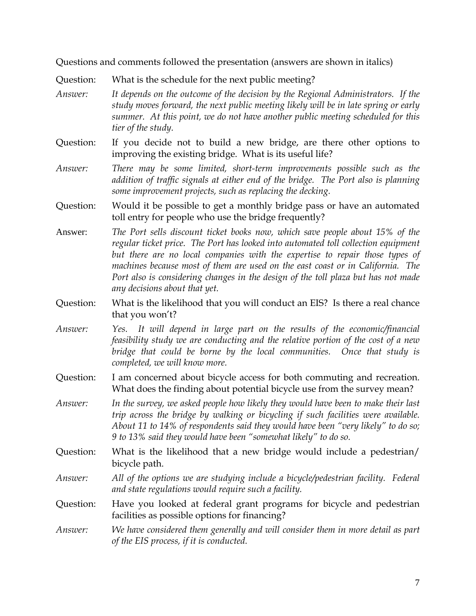Questions and comments followed the presentation (answers are shown in italics)

Question: What is the schedule for the next public meeting?

- *Answer: It depends on the outcome of the decision by the Regional Administrators. If the study moves forward, the next public meeting likely will be in late spring or early summer. At this point, we do not have another public meeting scheduled for this tier of the study.*
- Question: If you decide not to build a new bridge, are there other options to improving the existing bridge. What is its useful life?
- *Answer: There may be some limited, short-term improvements possible such as the addition of traffic signals at either end of the bridge. The Port also is planning some improvement projects, such as replacing the decking.*
- Question: Would it be possible to get a monthly bridge pass or have an automated toll entry for people who use the bridge frequently?
- Answer: *The Port sells discount ticket books now, which save people about 15% of the regular ticket price. The Port has looked into automated toll collection equipment but there are no local companies with the expertise to repair those types of machines because most of them are used on the east coast or in California. The*  Port also is considering changes in the design of the toll plaza but has not made *any decisions about that yet.*
- Question: What is the likelihood that you will conduct an EIS? Is there a real chance that you won't?
- *Answer: Yes. It will depend in large part on the results of the economic/financial feasibility study we are conducting and the relative portion of the cost of a new bridge that could be borne by the local communities. Once that study is completed, we will know more.*
- Question: I am concerned about bicycle access for both commuting and recreation. What does the finding about potential bicycle use from the survey mean?
- *Answer: In the survey, we asked people how likely they would have been to make their last trip across the bridge by walking or bicycling if such facilities were available. About 11 to 14% of respondents said they would have been "very likely" to do so; 9 to 13% said they would have been "somewhat likely" to do so.*
- Question: What is the likelihood that a new bridge would include a pedestrian/ bicycle path.
- *Answer: All of the options we are studying include a bicycle/pedestrian facility. Federal and state regulations would require such a facility.*
- Question: Have you looked at federal grant programs for bicycle and pedestrian facilities as possible options for financing?
- *Answer: We have considered them generally and will consider them in more detail as part of the EIS process, if it is conducted.*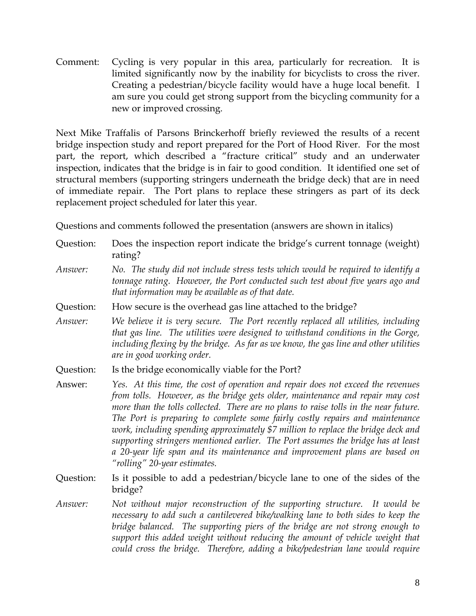Comment: Cycling is very popular in this area, particularly for recreation. It is limited significantly now by the inability for bicyclists to cross the river. Creating a pedestrian/bicycle facility would have a huge local benefit. I am sure you could get strong support from the bicycling community for a new or improved crossing.

Next Mike Traffalis of Parsons Brinckerhoff briefly reviewed the results of a recent bridge inspection study and report prepared for the Port of Hood River. For the most part, the report, which described a "fracture critical" study and an underwater inspection, indicates that the bridge is in fair to good condition. It identified one set of structural members (supporting stringers underneath the bridge deck) that are in need of immediate repair. The Port plans to replace these stringers as part of its deck replacement project scheduled for later this year.

Questions and comments followed the presentation (answers are shown in italics)

- Question: Does the inspection report indicate the bridge's current tonnage (weight) rating?
- *Answer: No. The study did not include stress tests which would be required to identify a tonnage rating. However, the Port conducted such test about five years ago and that information may be available as of that date.*
- Question: How secure is the overhead gas line attached to the bridge?
- *Answer: We believe it is very secure. The Port recently replaced all utilities, including that gas line. The utilities were designed to withstand conditions in the Gorge, including flexing by the bridge. As far as we know, the gas line and other utilities are in good working order.*
- Question: Is the bridge economically viable for the Port?
- Answer: *Yes. At this time, the cost of operation and repair does not exceed the revenues from tolls. However, as the bridge gets older, maintenance and repair may cost more than the tolls collected. There are no plans to raise tolls in the near future. The Port is preparing to complete some fairly costly repairs and maintenance work, including spending approximately \$7 million to replace the bridge deck and supporting stringers mentioned earlier. The Port assumes the bridge has at least a 20-year life span and its maintenance and improvement plans are based on "rolling" 20-year estimates.*
- Question: Is it possible to add a pedestrian/bicycle lane to one of the sides of the bridge?
- *Answer: Not without major reconstruction of the supporting structure. It would be necessary to add such a cantilevered bike/walking lane to both sides to keep the bridge balanced. The supporting piers of the bridge are not strong enough to support this added weight without reducing the amount of vehicle weight that could cross the bridge. Therefore, adding a bike/pedestrian lane would require*